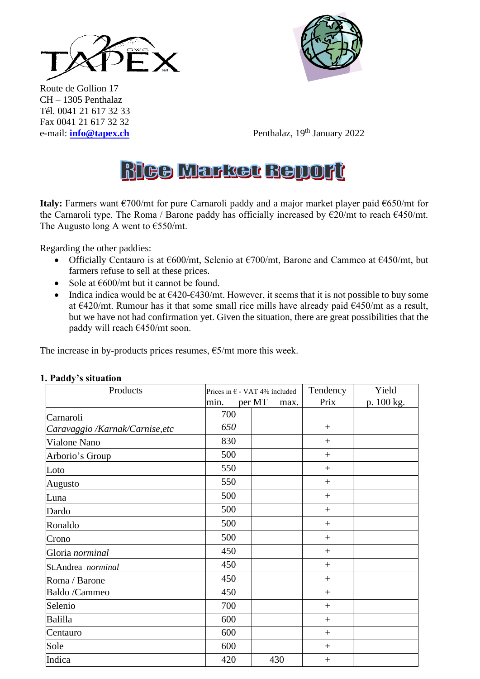



Route de Gollion 17 CH – 1305 Penthalaz Tél. 0041 21 617 32 33 Fax 0041 21 617 32 32 e-mail: **[info@tapex.ch](mailto:info@tapex.ch)** 

Penthalaz, 19<sup>th</sup> January 2022

# **Rice Market Bellort**

**Italy:** Farmers want €700/mt for pure Carnaroli paddy and a major market player paid €650/mt for the Carnaroli type. The Roma / Barone paddy has officially increased by  $\epsilon$ 20/mt to reach  $\epsilon$ 450/mt. The Augusto long A went to  $\epsilon$ 550/mt.

Regarding the other paddies:

- Officially Centauro is at  $\epsilon$ 600/mt, Selenio at  $\epsilon$ 700/mt, Barone and Cammeo at  $\epsilon$ 450/mt, but farmers refuse to sell at these prices.
- Sole at  $\epsilon$ 600/mt but it cannot be found.
- Indica indica would be at  $\epsilon$ 420- $\epsilon$ 430/mt. However, it seems that it is not possible to buy some at  $\epsilon$ 420/mt. Rumour has it that some small rice mills have already paid  $\epsilon$ 450/mt as a result, but we have not had confirmation yet. Given the situation, there are great possibilities that the paddy will reach €450/mt soon.

The increase in by-products prices resumes,  $\epsilon$ 5/mt more this week.

| Products                        |      | Prices in $\epsilon$ - VAT 4% included | Tendency        | Yield      |
|---------------------------------|------|----------------------------------------|-----------------|------------|
|                                 | min. | per MT<br>max.                         | Prix            | p. 100 kg. |
| Carnaroli                       | 700  |                                        |                 |            |
| Caravaggio /Karnak/Carnise, etc | 650  |                                        | $^{+}$          |            |
| Vialone Nano                    | 830  |                                        | $^{+}$          |            |
| Arborio's Group                 | 500  |                                        | $+$             |            |
| Loto                            | 550  |                                        | $+$             |            |
| Augusto                         | 550  |                                        | $^{+}$          |            |
| Luna                            | 500  |                                        | $+$             |            |
| Dardo                           | 500  |                                        | $\! + \!\!\!\!$ |            |
| Ronaldo                         | 500  |                                        | $+$             |            |
| Crono                           | 500  |                                        | $+$             |            |
| Gloria norminal                 | 450  |                                        | $^{+}$          |            |
| St.Andrea norminal              | 450  |                                        | $^{+}$          |            |
| Roma / Barone                   | 450  |                                        | $+$             |            |
| Baldo /Cammeo                   | 450  |                                        | $+$             |            |
| Selenio                         | 700  |                                        | $+$             |            |
| Balilla                         | 600  |                                        | $^{+}$          |            |
| Centauro                        | 600  |                                        | $+$             |            |
| Sole                            | 600  |                                        | $^{+}$          |            |
| Indica                          | 420  | 430                                    | $+$             |            |

#### **1. Paddy's situation**